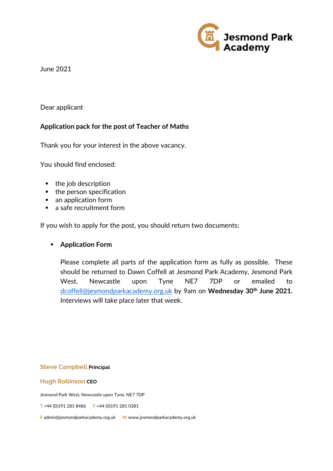

June 2021

## Dear applicant

## **Application pack for the post of Teacher of Maths**

Thank you for your interest in the above vacancy.

You should find enclosed:

- **the job description**
- $\blacksquare$  the person specification
- an application form
- a safe recruitment form

If you wish to apply for the post, you should return two documents:

## **Application Form**

Please complete all parts of the application form as fully as possible. These should be returned to Dawn Coffell at Jesmond Park Academy, Jesmond Park West, Newcastle upon Tyne NE7 7DP or emailed to dcoffell@jesmondparkacademy.org.uk by 9am on **Wednesday 30th June 2021.** Interviews will take place later that week.

**Steve Campbell Principal**

**Hugh Robinson CEO**

Jesmond Park West, Newcastle upon Tyne, NE7 7DP

**T** +44 (0)191 281 8486 **F** +44 (0)191 281 0381

**E** admin@jesmondparkacademy.org.uk **W** www.jesmondparkacademy.org.uk